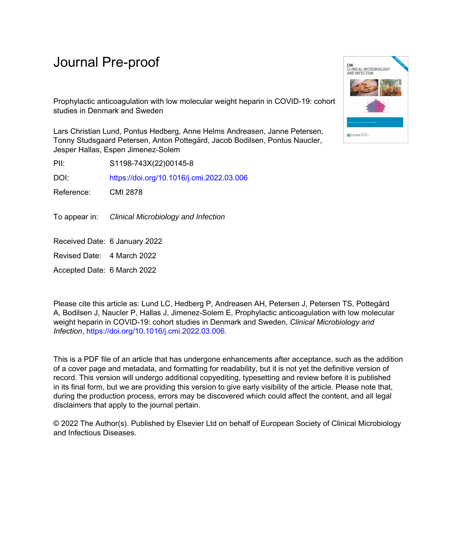Prophylactic anticoagulation with low molecular weight heparin in COVID-19: cohort studies in Denmark and Sweden

Lars Christian Lund, Pontus Hedberg, Anne Helms Andreasen, Janne Petersen, Tonny Studsgaard Petersen, Anton Pottegård, Jacob Bodilsen, Pontus Naucler, Jesper Hallas, Espen Jimenez-Solem

PII: S1198-743X(22)00145-8

DOI: <https://doi.org/10.1016/j.cmi.2022.03.006>

Reference: CMI 2878

To appear in: Clinical Microbiology and Infection

Received Date: 6 January 2022

Revised Date: 4 March 2022

Accepted Date: 6 March 2022

Please cite this article as: Lund LC, Hedberg P, Andreasen AH, Petersen J, Petersen TS, Pottegård A, Bodilsen J, Naucler P, Hallas J, Jimenez-Solem E, Prophylactic anticoagulation with low molecular weight heparin in COVID-19: cohort studies in Denmark and Sweden, *Clinical Microbiology and Infection*,<https://doi.org/10.1016/j.cmi.2022.03.006>.

This is a PDF file of an article that has undergone enhancements after acceptance, such as the addition of a cover page and metadata, and formatting for readability, but it is not yet the definitive version of record. This version will undergo additional copyediting, typesetting and review before it is published in its final form, but we are providing this version to give early visibility of the article. Please note that, during the production process, errors may be discovered which could affect the content, and all legal disclaimers that apply to the journal pertain.

© 2022 The Author(s). Published by Elsevier Ltd on behalf of European Society of Clinical Microbiology and Infectious Diseases.

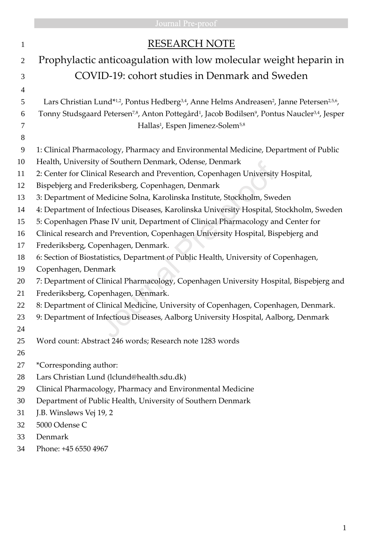| $\mathbf{1}$   | <b>RESEARCH NOTE</b>                                                                                                                           |
|----------------|------------------------------------------------------------------------------------------------------------------------------------------------|
| $\overline{2}$ | Prophylactic anticoagulation with low molecular weight heparin in                                                                              |
| 3              | COVID-19: cohort studies in Denmark and Sweden                                                                                                 |
| $\overline{4}$ |                                                                                                                                                |
| 5              | Lars Christian Lund*1.2, Pontus Hedberg <sup>3,4</sup> , Anne Helms Andreasen <sup>2</sup> , Janne Petersen <sup>2,5,6</sup> ,                 |
| 6              | Tonny Studsgaard Petersen <sup>7,8</sup> , Anton Pottegård <sup>1</sup> , Jacob Bodilsen <sup>9</sup> , Pontus Naucler <sup>3,4</sup> , Jesper |
| 7              | Hallas <sup>1</sup> , Espen Jimenez-Solem <sup>5,8</sup>                                                                                       |
| 8              |                                                                                                                                                |
| 9              | 1: Clinical Pharmacology, Pharmacy and Environmental Medicine, Department of Public                                                            |
| 10             | Health, University of Southern Denmark, Odense, Denmark                                                                                        |
| 11             | 2: Center for Clinical Research and Prevention, Copenhagen University Hospital,                                                                |
| 12             | Bispebjerg and Frederiksberg, Copenhagen, Denmark                                                                                              |
| 13             | 3: Department of Medicine Solna, Karolinska Institute, Stockholm, Sweden                                                                       |
| 14             | 4: Department of Infectious Diseases, Karolinska University Hospital, Stockholm, Sweden                                                        |
| 15             | 5: Copenhagen Phase IV unit, Department of Clinical Pharmacology and Center for                                                                |
| 16             | Clinical research and Prevention, Copenhagen University Hospital, Bispebjerg and                                                               |
| 17             | Frederiksberg, Copenhagen, Denmark.                                                                                                            |
| 18             | 6: Section of Biostatistics, Department of Public Health, University of Copenhagen,                                                            |
| 19             | Copenhagen, Denmark                                                                                                                            |
| 20             | 7: Department of Clinical Pharmacology, Copenhagen University Hospital, Bispebjerg and                                                         |
| 21             | Frederiksberg, Copenhagen, Denmark.                                                                                                            |
| 22             | 8: Department of Clinical Medicine, University of Copenhagen, Copenhagen, Denmark.                                                             |
| 23             | 9: Department of Infectious Diseases, Aalborg University Hospital, Aalborg, Denmark                                                            |
| 24             |                                                                                                                                                |
| 25             | Word count: Abstract 246 words; Research note 1283 words                                                                                       |
| 26             |                                                                                                                                                |
| 27             | *Corresponding author:                                                                                                                         |
| 28             | Lars Christian Lund (lclund@health.sdu.dk)                                                                                                     |
| 29             | Clinical Pharmacology, Pharmacy and Environmental Medicine                                                                                     |
| 30             | Department of Public Health, University of Southern Denmark                                                                                    |
| 31             | J.B. Winsløws Vej 19, 2                                                                                                                        |
| 32             | 5000 Odense C                                                                                                                                  |
| 33             | Denmark                                                                                                                                        |

Phone: +45 6550 4967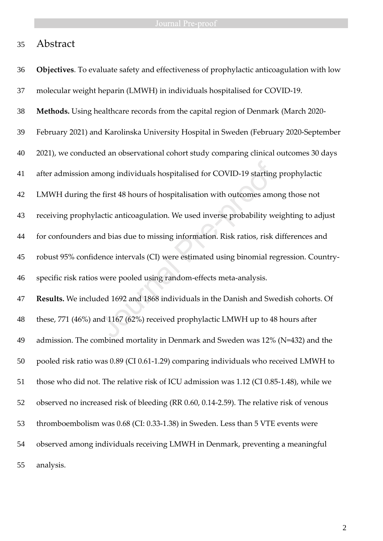Abstract

| 36 | Objectives. To evaluate safety and effectiveness of prophylactic anticoagulation with low |
|----|-------------------------------------------------------------------------------------------|
| 37 | molecular weight heparin (LMWH) in individuals hospitalised for COVID-19.                 |
| 38 | Methods. Using healthcare records from the capital region of Denmark (March 2020-         |
| 39 | February 2021) and Karolinska University Hospital in Sweden (February 2020-September      |
| 40 | 2021), we conducted an observational cohort study comparing clinical outcomes 30 days     |
| 41 | after admission among individuals hospitalised for COVID-19 starting prophylactic         |
| 42 | LMWH during the first 48 hours of hospitalisation with outcomes among those not           |
| 43 | receiving prophylactic anticoagulation. We used inverse probability weighting to adjust   |
| 44 | for confounders and bias due to missing information. Risk ratios, risk differences and    |
| 45 | robust 95% confidence intervals (CI) were estimated using binomial regression. Country-   |
| 46 | specific risk ratios were pooled using random-effects meta-analysis.                      |
| 47 | Results. We included 1692 and 1868 individuals in the Danish and Swedish cohorts. Of      |
| 48 | these, 771 (46%) and 1167 (62%) received prophylactic LMWH up to 48 hours after           |
| 49 | admission. The combined mortality in Denmark and Sweden was 12% (N=432) and the           |
| 50 | pooled risk ratio was 0.89 (CI 0.61-1.29) comparing individuals who received LMWH to      |
| 51 | those who did not. The relative risk of ICU admission was 1.12 (CI 0.85-1.48), while we   |
| 52 | observed no increased risk of bleeding (RR 0.60, 0.14-2.59). The relative risk of venous  |
| 53 | thromboembolism was 0.68 (CI: 0.33-1.38) in Sweden. Less than 5 VTE events were           |
| 54 | observed among individuals receiving LMWH in Denmark, preventing a meaningful             |
| 55 | analysis.                                                                                 |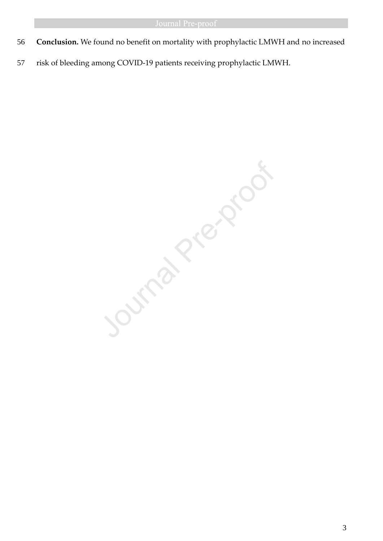- 56 **Conclusion.** We found no benefit on mortality with prophylactic LMWH and no increased
- 57 risk of bleeding among COVID-19 patients receiving prophylactic LMWH.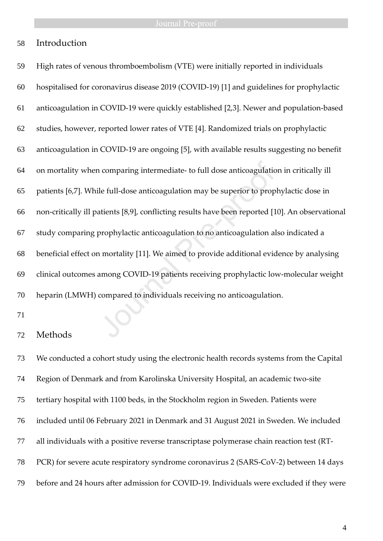## Introduction

| 59 | High rates of venous thromboembolism (VTE) were initially reported in individuals                |
|----|--------------------------------------------------------------------------------------------------|
| 60 | hospitalised for coronavirus disease 2019 (COVID-19) [1] and guidelines for prophylactic         |
| 61 | anticoagulation in COVID-19 were quickly established [2,3]. Newer and population-based           |
| 62 | studies, however, reported lower rates of VTE [4]. Randomized trials on prophylactic             |
| 63 | anticoagulation in COVID-19 are ongoing [5], with available results suggesting no benefit        |
| 64 | on mortality when comparing intermediate- to full dose anticoagulation in critically ill         |
| 65 | patients [6,7]. While full-dose anticoagulation may be superior to prophylactic dose in          |
| 66 | non-critically ill patients [8,9], conflicting results have been reported [10]. An observational |
| 67 | study comparing prophylactic anticoagulation to no anticoagulation also indicated a              |
| 68 | beneficial effect on mortality [11]. We aimed to provide additional evidence by analysing        |
| 69 | clinical outcomes among COVID-19 patients receiving prophylactic low-molecular weight            |
| 70 | heparin (LMWH) compared to individuals receiving no anticoagulation.                             |
| 71 |                                                                                                  |
| 72 | Methods                                                                                          |

## Methods

 We conducted a cohort study using the electronic health records systems from the Capital Region of Denmark and from Karolinska University Hospital, an academic two-site tertiary hospital with 1100 beds, in the Stockholm region in Sweden. Patients were included until 06 February 2021 in Denmark and 31 August 2021 in Sweden. We included all individuals with a positive reverse transcriptase polymerase chain reaction test (RT- PCR) for severe acute respiratory syndrome coronavirus 2 (SARS-CoV-2) between 14 days before and 24 hours after admission for COVID-19. Individuals were excluded if they were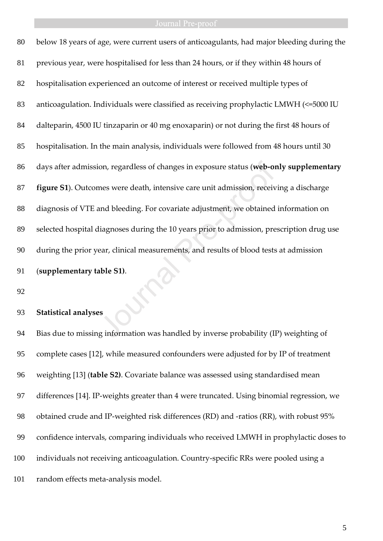| 80 | below 18 years of age, were current users of anticoagulants, had major bleeding during the |
|----|--------------------------------------------------------------------------------------------|
| 81 | previous year, were hospitalised for less than 24 hours, or if they within 48 hours of     |
| 82 | hospitalisation experienced an outcome of interest or received multiple types of           |
| 83 | anticoagulation. Individuals were classified as receiving prophylactic LMWH (<=5000 IU     |
| 84 | dalteparin, 4500 IU tinzaparin or 40 mg enoxaparin) or not during the first 48 hours of    |
| 85 | hospitalisation. In the main analysis, individuals were followed from 48 hours until 30    |
| 86 | days after admission, regardless of changes in exposure status (web-only supplementary     |
| 87 | figure S1). Outcomes were death, intensive care unit admission, receiving a discharge      |
| 88 | diagnosis of VTE and bleeding. For covariate adjustment, we obtained information on        |
| 89 | selected hospital diagnoses during the 10 years prior to admission, prescription drug use  |
| 90 | during the prior year, clinical measurements, and results of blood tests at admission      |
| 91 | (supplementary table S1).                                                                  |
| 92 |                                                                                            |
| 93 | <b>Statistical analyses</b>                                                                |
| 94 | Bias due to missing information was handled by inverse probability (IP) weighting of       |

### **Statistical analyses**

 Bias due to missing information was handled by inverse probability (IP) weighting of complete cases [12], while measured confounders were adjusted for by IP of treatment weighting [13] (**table S2)**. Covariate balance was assessed using standardised mean differences [14]. IP-weights greater than 4 were truncated. Using binomial regression, we obtained crude and IP-weighted risk differences (RD) and -ratios (RR), with robust 95% confidence intervals, comparing individuals who received LMWH in prophylactic doses to individuals not receiving anticoagulation. Country-specific RRs were pooled using a random effects meta-analysis model.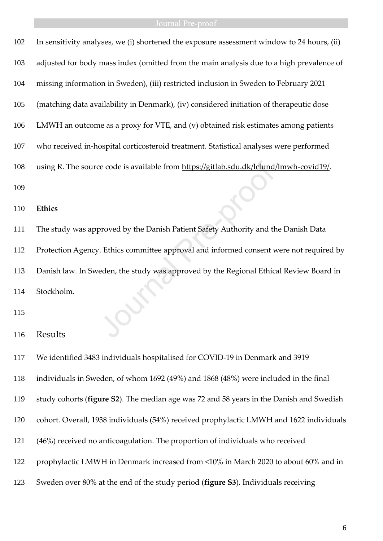| 102 | In sensitivity analyses, we (i) shortened the exposure assessment window to 24 hours, (ii) |
|-----|--------------------------------------------------------------------------------------------|
| 103 | adjusted for body mass index (omitted from the main analysis due to a high prevalence of   |
| 104 | missing information in Sweden), (iii) restricted inclusion in Sweden to February 2021      |
| 105 | (matching data availability in Denmark), (iv) considered initiation of therapeutic dose    |
| 106 | LMWH an outcome as a proxy for VTE, and (v) obtained risk estimates among patients         |
| 107 | who received in-hospital corticosteroid treatment. Statistical analyses were performed     |
| 108 | using R. The source code is available from https://gitlab.sdu.dk/lclund/lmwh-covid19/.     |
| 109 |                                                                                            |
| 110 | <b>Ethics</b>                                                                              |
| 111 | The study was approved by the Danish Patient Safety Authority and the Danish Data          |
| 112 | Protection Agency. Ethics committee approval and informed consent were not required by     |
| 113 | Danish law. In Sweden, the study was approved by the Regional Ethical Review Board in      |
| 114 | Stockholm.                                                                                 |
|     |                                                                                            |
| 115 |                                                                                            |

## Results

We identified 3483 individuals hospitalised for COVID-19 in Denmark and 3919

individuals in Sweden, of whom 1692 (49%) and 1868 (48%) were included in the final

study cohorts (**figure S2**). The median age was 72 and 58 years in the Danish and Swedish

cohort. Overall, 1938 individuals (54%) received prophylactic LMWH and 1622 individuals

(46%) received no anticoagulation. The proportion of individuals who received

prophylactic LMWH in Denmark increased from <10% in March 2020 to about 60% and in

Sweden over 80% at the end of the study period (**figure S3**). Individuals receiving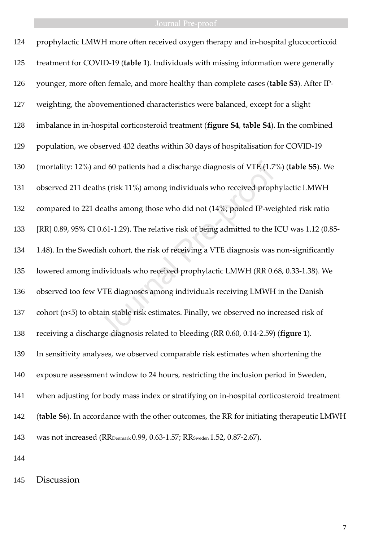# **Example 3 Sournal Pre-proof**

| 124 | prophylactic LMWH more often received oxygen therapy and in-hospital glucocorticoid          |
|-----|----------------------------------------------------------------------------------------------|
| 125 | treatment for COVID-19 (table 1). Individuals with missing information were generally        |
| 126 | younger, more often female, and more healthy than complete cases (table S3). After IP-       |
| 127 | weighting, the abovementioned characteristics were balanced, except for a slight             |
| 128 | imbalance in in-hospital corticosteroid treatment (figure S4, table S4). In the combined     |
| 129 | population, we observed 432 deaths within 30 days of hospitalisation for COVID-19            |
| 130 | (mortality: 12%) and 60 patients had a discharge diagnosis of VTE (1.7%) (table S5). We      |
| 131 | observed 211 deaths (risk 11%) among individuals who received prophylactic LMWH              |
| 132 | compared to 221 deaths among those who did not (14%; pooled IP-weighted risk ratio           |
| 133 | [RR] 0.89, 95% CI 0.61-1.29). The relative risk of being admitted to the ICU was 1.12 (0.85- |
| 134 | 1.48). In the Swedish cohort, the risk of receiving a VTE diagnosis was non-significantly    |
| 135 | lowered among individuals who received prophylactic LMWH (RR 0.68, 0.33-1.38). We            |
| 136 | observed too few VTE diagnoses among individuals receiving LMWH in the Danish                |
| 137 | cohort (n<5) to obtain stable risk estimates. Finally, we observed no increased risk of      |
| 138 | receiving a discharge diagnosis related to bleeding (RR 0.60, 0.14-2.59) (figure 1).         |
| 139 | In sensitivity analyses, we observed comparable risk estimates when shortening the           |
| 140 | exposure assessment window to 24 hours, restricting the inclusion period in Sweden,          |
| 141 | when adjusting for body mass index or stratifying on in-hospital corticosteroid treatment    |
| 142 | (table S6). In accordance with the other outcomes, the RR for initiating therapeutic LMWH    |
| 143 | was not increased (RRDenmark 0.99, 0.63-1.57; RRsweden 1.52, 0.87-2.67).                     |
| 144 |                                                                                              |

Discussion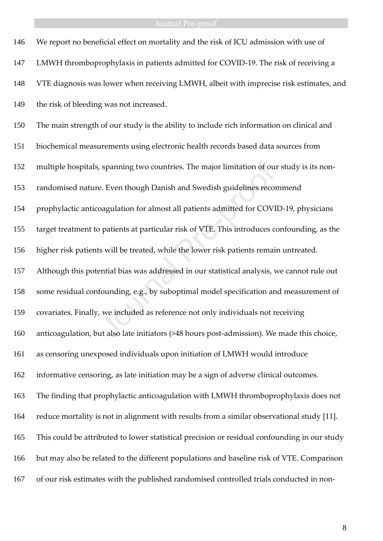# **Example 2018** Journal Pre-proof

| 146 | We report no beneficial effect on mortality and the risk of ICU admission with use of        |
|-----|----------------------------------------------------------------------------------------------|
| 147 | LMWH thromboprophylaxis in patients admitted for COVID-19. The risk of receiving a           |
| 148 | VTE diagnosis was lower when receiving LMWH, albeit with imprecise risk estimates, and       |
| 149 | the risk of bleeding was not increased.                                                      |
| 150 | The main strength of our study is the ability to include rich information on clinical and    |
| 151 | biochemical measurements using electronic health records based data sources from             |
| 152 | multiple hospitals, spanning two countries. The major limitation of our study is its non-    |
| 153 | randomised nature. Even though Danish and Swedish guidelines recommend                       |
| 154 | prophylactic anticoagulation for almost all patients admitted for COVID-19, physicians       |
| 155 | target treatment to patients at particular risk of VTE. This introduces confounding, as the  |
| 156 | higher risk patients will be treated, while the lower risk patients remain untreated.        |
| 157 | Although this potential bias was addressed in our statistical analysis, we cannot rule out   |
| 158 | some residual confounding, e.g., by suboptimal model specification and measurement of        |
| 159 | covariates. Finally, we included as reference not only individuals not receiving             |
| 160 | anticoagulation, but also late initiators (>48 hours post-admission). We made this choice,   |
| 161 | as censoring unexposed individuals upon initiation of LMWH would introduce                   |
| 162 | informative censoring, as late initiation may be a sign of adverse clinical outcomes.        |
| 163 | The finding that prophylactic anticoagulation with LMWH thromboprophylaxis does not          |
| 164 | reduce mortality is not in alignment with results from a similar observational study [11].   |
| 165 | This could be attributed to lower statistical precision or residual confounding in our study |
| 166 | but may also be related to the different populations and baseline risk of VTE. Comparison    |
| 167 | of our risk estimates with the published randomised controlled trials conducted in non-      |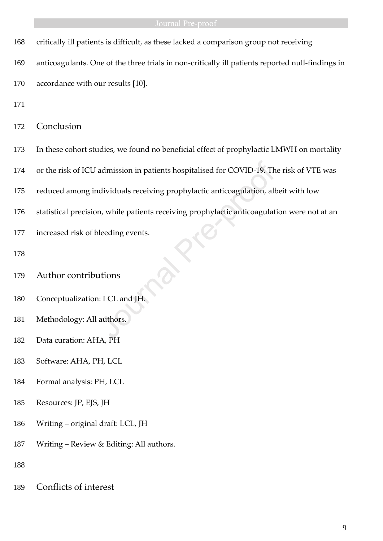| 168 |                                                                                        |  |  |  |  |  |
|-----|----------------------------------------------------------------------------------------|--|--|--|--|--|
|     | critically ill patients is difficult, as these lacked a comparison group not receiving |  |  |  |  |  |

- anticoagulants. One of the three trials in non-critically ill patients reported null-findings in
- accordance with our results [10].
- 
- Conclusion
- In these cohort studies, we found no beneficial effect of prophylactic LMWH on mortality
- or the risk of ICU admission in patients hospitalised for COVID-19. The risk of VTE was
- reduced among individuals receiving prophylactic anticoagulation, albeit with low admission in patients hospitalised for COVID-19. The<br>dividuals receiving prophylactic anticoagulation, all<br>n, while patients receiving prophylactic anticoagulat<br>leeding events.<br>tions<br>i: LCL and JH.<br>authors.
- statistical precision, while patients receiving prophylactic anticoagulation were not at an
- increased risk of bleeding events.
- 
- Author contributions
- Conceptualization: LCL and JH.
- Methodology: All authors.
- Data curation: AHA, PH
- Software: AHA, PH, LCL
- Formal analysis: PH, LCL
- Resources: JP, EJS, JH
- Writing original draft: LCL, JH
- Writing Review & Editing: All authors.
- 
- Conflicts of interest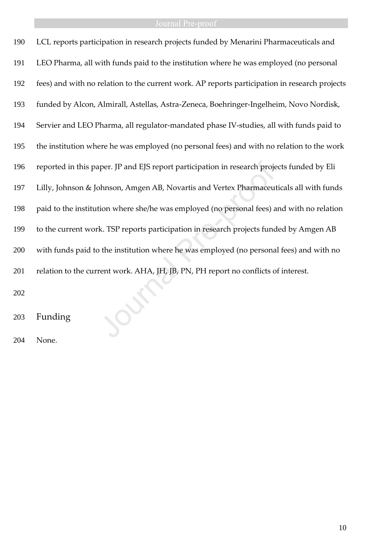| 190 | LCL reports participation in research projects funded by Menarini Pharmaceuticals and         |
|-----|-----------------------------------------------------------------------------------------------|
| 191 | LEO Pharma, all with funds paid to the institution where he was employed (no personal         |
| 192 | fees) and with no relation to the current work. AP reports participation in research projects |
| 193 | funded by Alcon, Almirall, Astellas, Astra-Zeneca, Boehringer-Ingelheim, Novo Nordisk,        |
| 194 | Servier and LEO Pharma, all regulator-mandated phase IV-studies, all with funds paid to       |
| 195 | the institution where he was employed (no personal fees) and with no relation to the work     |
| 196 | reported in this paper. JP and EJS report participation in research projects funded by Eli    |
| 197 | Lilly, Johnson & Johnson, Amgen AB, Novartis and Vertex Pharmaceuticals all with funds        |
| 198 | paid to the institution where she/he was employed (no personal fees) and with no relation     |
| 199 | to the current work. TSP reports participation in research projects funded by Amgen AB        |
| 200 | with funds paid to the institution where he was employed (no personal fees) and with no       |
| 201 | relation to the current work. AHA, JH, JB, PN, PH report no conflicts of interest.            |
| 202 |                                                                                               |
| 203 | Funding                                                                                       |
| 204 | None.                                                                                         |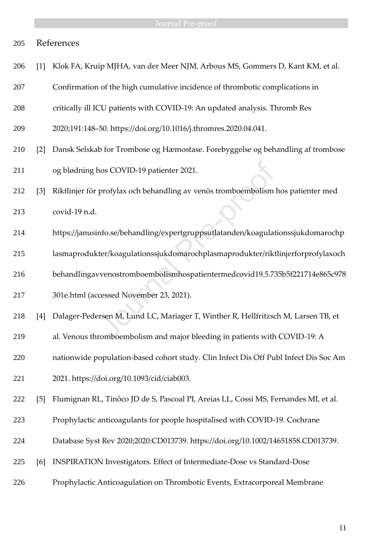| 205 |                   | References                                                                           |
|-----|-------------------|--------------------------------------------------------------------------------------|
| 206 | $\lceil 1 \rceil$ | Klok FA, Kruip MJHA, van der Meer NJM, Arbous MS, Gommers D, Kant KM, et al.         |
| 207 |                   | Confirmation of the high cumulative incidence of thrombotic complications in         |
| 208 |                   | critically ill ICU patients with COVID-19: An updated analysis. Thromb Res           |
| 209 |                   | 2020;191:148-50. https://doi.org/10.1016/j.thromres.2020.04.041.                     |
| 210 | $\lceil 2 \rceil$ | Dansk Selskab for Trombose og Hæmostase. Forebyggelse og behandling af trombose      |
| 211 |                   | og blødning hos COVID-19 patienter 2021.                                             |
| 212 | $\lceil 3 \rceil$ | Riktlinjer för profylax och behandling av venös tromboembolism hos patienter med     |
| 213 |                   | covid-19 n.d.                                                                        |
| 214 |                   | https://janusinfo.se/behandling/expertgruppsutlatanden/koagulationssjukdomarochp     |
| 215 |                   | lasmaprodukter/koagulationssjukdomarochplasmaprodukter/riktlinjerforprofylaxoch      |
| 216 |                   | behandlingavvenostromboembolismhospatientermedcovid19.5.735b5f221714e865c978         |
| 217 |                   | 301e.html (accessed November 23, 2021).                                              |
| 218 | [4]               | Dalager-Pedersen M, Lund LC, Mariager T, Winther R, Hellfritzsch M, Larsen TB, et    |
| 219 |                   | al. Venous thromboembolism and major bleeding in patients with COVID-19: A           |
| 220 |                   | nationwide population-based cohort study. Clin Infect Dis Off Publ Infect Dis Soc Am |
| 221 |                   | 2021. https://doi.org/10.1093/cid/ciab003.                                           |
| 222 | $\lceil 5 \rceil$ | Flumignan RL, Tinôco JD de S, Pascoal PI, Areias LL, Cossi MS, Fernandes MI, et al.  |
| 223 |                   | Prophylactic anticoagulants for people hospitalised with COVID-19. Cochrane          |
| 224 |                   | Database Syst Rev 2020;2020:CD013739. https://doi.org/10.1002/14651858.CD013739.     |
| 225 | [6]               | INSPIRATION Investigators. Effect of Intermediate-Dose vs Standard-Dose              |
| 226 |                   | Prophylactic Anticoagulation on Thrombotic Events, Extracorporeal Membrane           |

**Example 2018** Journal Pre-proof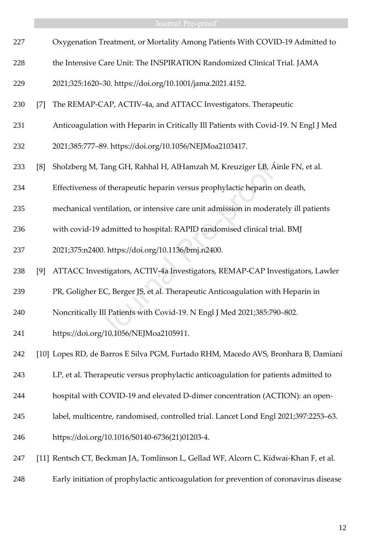- Oxygenation Treatment, or Mortality Among Patients With COVID-19 Admitted to
- 228 the Intensive Care Unit: The INSPIRATION Randomized Clinical Trial. JAMA
- 2021;325:1620–30. https://doi.org/10.1001/jama.2021.4152.
- [7] The REMAP-CAP, ACTIV-4a, and ATTACC Investigators. Therapeutic
- Anticoagulation with Heparin in Critically Ill Patients with Covid-19. N Engl J Med
- 2021;385:777–89. https://doi.org/10.1056/NEJMoa2103417.
- [8] Sholzberg M, Tang GH, Rahhal H, AlHamzah M, Kreuziger LB, Áinle FN, et al. Tang GH, Rahhal H, AlHamzah M, Kreuziger LB, Á<br>of therapeutic heparin versus prophylactic heparin c<br>entilation, or intensive care unit admission in moderal<br>and admitted to hospital: RAPID randomised clinical tri<br>00. https:
- Effectiveness of therapeutic heparin versus prophylactic heparin on death,
- mechanical ventilation, or intensive care unit admission in moderately ill patients
- with covid-19 admitted to hospital: RAPID randomised clinical trial. BMJ
- 2021;375:n2400. https://doi.org/10.1136/bmj.n2400.
- [9] ATTACC Investigators, ACTIV-4a Investigators, REMAP-CAP Investigators, Lawler
- PR, Goligher EC, Berger JS, et al. Therapeutic Anticoagulation with Heparin in
- Noncritically Ill Patients with Covid-19. N Engl J Med 2021;385:790–802.
- https://doi.org/10.1056/NEJMoa2105911.
- [10] Lopes RD, de Barros E Silva PGM, Furtado RHM, Macedo AVS, Bronhara B, Damiani
- LP, et al. Therapeutic versus prophylactic anticoagulation for patients admitted to
- hospital with COVID-19 and elevated D-dimer concentration (ACTION): an open-
- label, multicentre, randomised, controlled trial. Lancet Lond Engl 2021;397:2253–63.
- https://doi.org/10.1016/S0140-6736(21)01203-4.
- [11] Rentsch CT, Beckman JA, Tomlinson L, Gellad WF, Alcorn C, Kidwai-Khan F, et al.
- Early initiation of prophylactic anticoagulation for prevention of coronavirus disease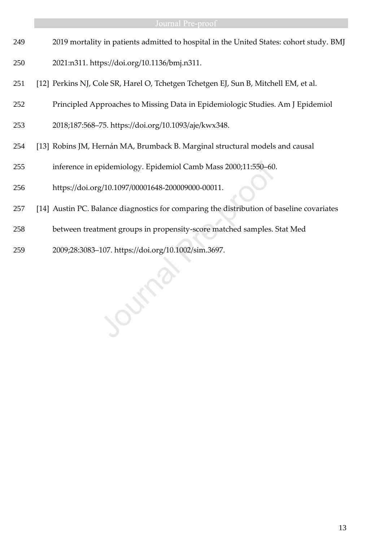- 2019 mortality in patients admitted to hospital in the United States: cohort study. BMJ
- 2021:n311. https://doi.org/10.1136/bmj.n311.
- [12] Perkins NJ, Cole SR, Harel O, Tchetgen Tchetgen EJ, Sun B, Mitchell EM, et al.
- Principled Approaches to Missing Data in Epidemiologic Studies. Am J Epidemiol
- 2018;187:568–75. https://doi.org/10.1093/aje/kwx348.
- [13] Robins JM, Hernán MA, Brumback B. Marginal structural models and causal
- inference in epidemiology. Epidemiol Camb Mass 2000;11:550–60.
- https://doi.org/10.1097/00001648-200009000-00011.
- [14] Austin PC. Balance diagnostics for comparing the distribution of baseline covariates
- between treatment groups in propensity-score matched samples. Stat Med
- 2009;28:3083–107. https://doi.org/10.1002/sim.3697.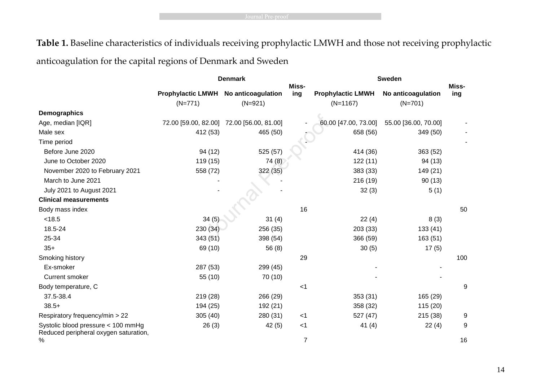**Table 1.** Baseline characteristics of individuals receiving prophylactic LMWH and those not receiving prophylactic

anticoagulation for the capital regions of Denmark and Sweden

|                                                                             | <b>Denmark</b>                       |                                           |                | <b>Sweden</b>            |                      |       |  |  |
|-----------------------------------------------------------------------------|--------------------------------------|-------------------------------------------|----------------|--------------------------|----------------------|-------|--|--|
|                                                                             |                                      |                                           | Miss-          |                          |                      | Miss- |  |  |
|                                                                             | Prophylactic LMWH No anticoagulation |                                           | ing            | <b>Prophylactic LMWH</b> | No anticoagulation   | ing   |  |  |
|                                                                             | $(N=771)$                            | $(N=921)$                                 |                | $(N=1167)$               | $(N=701)$            |       |  |  |
| Demographics                                                                |                                      |                                           |                |                          |                      |       |  |  |
| Age, median [IQR]                                                           |                                      | 72.00 [59.00, 82.00] 72.00 [56.00, 81.00] |                | 60.00 [47.00, 73.00]     | 55.00 [36.00, 70.00] |       |  |  |
| Male sex                                                                    | 412 (53)                             | 465 (50)                                  |                | 658 (56)                 | 349 (50)             |       |  |  |
| Time period                                                                 |                                      |                                           |                |                          |                      |       |  |  |
| Before June 2020                                                            | 94 (12)                              | 525 (57)                                  |                | 414 (36)                 | 363 (52)             |       |  |  |
| June to October 2020                                                        | 119 (15)                             | 74(8)                                     |                | 122(11)                  | 94 (13)              |       |  |  |
| November 2020 to February 2021                                              | 558 (72)                             | 322 (35)                                  |                | 383 (33)                 | 149 (21)             |       |  |  |
| March to June 2021                                                          |                                      |                                           |                | 216 (19)                 | 90(13)               |       |  |  |
| July 2021 to August 2021                                                    |                                      |                                           |                | 32(3)                    | 5(1)                 |       |  |  |
| <b>Clinical measurements</b>                                                |                                      |                                           |                |                          |                      |       |  |  |
| Body mass index                                                             |                                      |                                           | 16             |                          |                      | 50    |  |  |
| < 18.5                                                                      | 34(5)                                | 31(4)                                     |                | 22(4)                    | 8(3)                 |       |  |  |
| 18.5-24                                                                     | 230 (34)                             | 256 (35)                                  |                | 203(33)                  | 133(41)              |       |  |  |
| 25-34                                                                       | 343 (51)                             | 398 (54)                                  |                | 366 (59)                 | 163(51)              |       |  |  |
| $35+$                                                                       | 69 (10)                              | 56(8)                                     |                | 30(5)                    | 17(5)                |       |  |  |
| Smoking history                                                             |                                      |                                           | 29             |                          |                      | 100   |  |  |
| Ex-smoker                                                                   | 287 (53)                             | 299 (45)                                  |                |                          |                      |       |  |  |
| <b>Current smoker</b>                                                       | 55 (10)                              | 70 (10)                                   |                |                          |                      |       |  |  |
| Body temperature, C                                                         |                                      |                                           | $<$ 1          |                          |                      | 9     |  |  |
| 37.5-38.4                                                                   | 219 (28)                             | 266 (29)                                  |                | 353 (31)                 | 165 (29)             |       |  |  |
| $38.5+$                                                                     | 194 (25)                             | 192 (21)                                  |                | 358 (32)                 | 115 (20)             |       |  |  |
| Respiratory frequency/min > 22                                              | 305 (40)                             | 280 (31)                                  | $<$ 1          | 527 (47)                 | 215 (38)             | 9     |  |  |
| Systolic blood pressure < 100 mmHg<br>Reduced peripheral oxygen saturation, | 26(3)                                | 42(5)                                     | $<$ 1          | 41(4)                    | 22(4)                | 9     |  |  |
| %                                                                           |                                      |                                           | $\overline{7}$ |                          |                      | 16    |  |  |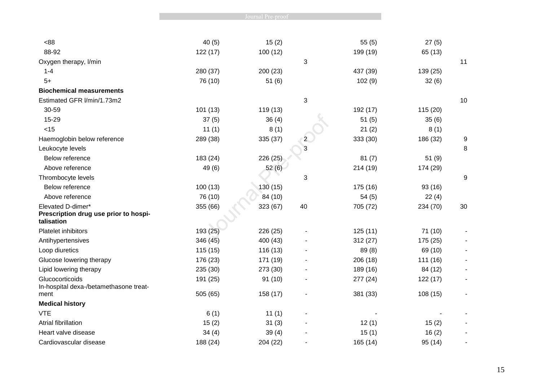| <88                                                                      | 40(5)    | 15(2)    |    | 55(5)    | 27(5)    |                  |
|--------------------------------------------------------------------------|----------|----------|----|----------|----------|------------------|
| 88-92                                                                    | 122 (17) | 100(12)  |    | 199 (19) | 65 (13)  |                  |
| Oxygen therapy, I/min                                                    |          |          | 3  |          |          | 11               |
| $1 - 4$                                                                  | 280 (37) | 200 (23) |    | 437 (39) | 139 (25) |                  |
| $5+$                                                                     | 76 (10)  | 51(6)    |    | 102(9)   | 32(6)    |                  |
| <b>Biochemical measurements</b>                                          |          |          |    |          |          |                  |
| Estimated GFR I/min/1.73m2                                               |          |          | 3  |          |          | 10               |
| 30-59                                                                    | 101(13)  | 119 (13) |    | 192 (17) | 115(20)  |                  |
| 15-29                                                                    | 37(5)    | 36(4)    |    | 51(5)    | 35(6)    |                  |
| $<$ 15                                                                   | 11(1)    | 8(1)     |    | 21(2)    | 8(1)     |                  |
| Haemoglobin below reference                                              | 289 (38) | 335 (37) | 2  | 333 (30) | 186 (32) | $\boldsymbol{9}$ |
| Leukocyte levels                                                         |          |          | 3  |          |          | 8                |
| <b>Below reference</b>                                                   | 183 (24) | 226 (25) |    | 81(7)    | 51(9)    |                  |
| Above reference                                                          | 49 (6)   | 52(6)    |    | 214 (19) | 174 (29) |                  |
| Thrombocyte levels                                                       |          |          | 3  |          |          | 9                |
| Below reference                                                          | 100(13)  | 130 (15) |    | 175 (16) | 93 (16)  |                  |
| Above reference                                                          | 76 (10)  | 84 (10)  |    | 54(5)    | 22(4)    |                  |
| Elevated D-dimer*<br>Prescription drug use prior to hospi-<br>talisation | 355 (66) | 323 (67) | 40 | 705 (72) | 234 (70) | 30               |
| Platelet inhibitors                                                      | 193 (25) | 226 (25) |    | 125(11)  | 71 (10)  |                  |
| Antihypertensives                                                        | 346 (45) | 400 (43) |    | 312(27)  | 175 (25) |                  |
| Loop diuretics                                                           | 115(15)  | 116 (13) |    | 89 (8)   | 69 (10)  |                  |
| Glucose lowering therapy                                                 | 176 (23) | 171 (19) |    | 206 (18) | 111 (16) |                  |
| Lipid lowering therapy                                                   | 235 (30) | 273 (30) |    | 189 (16) | 84 (12)  |                  |
| Glucocorticoids<br>In-hospital dexa-/betamethasone treat-                | 191 (25) | 91(10)   |    | 277 (24) | 122(17)  |                  |
| ment                                                                     | 505 (65) | 158 (17) |    | 381 (33) | 108(15)  |                  |
| <b>Medical history</b>                                                   |          |          |    |          |          |                  |
| <b>VTE</b>                                                               | 6(1)     | 11(1)    |    |          |          |                  |
| Atrial fibrillation                                                      | 15(2)    | 31(3)    |    | 12(1)    | 15(2)    |                  |
| Heart valve disease                                                      | 34(4)    | 39(4)    |    | 15(1)    | 16(2)    |                  |
| Cardiovascular disease                                                   | 188 (24) | 204 (22) |    | 165 (14) | 95 (14)  |                  |

**Example 2018** Journal Pre-proof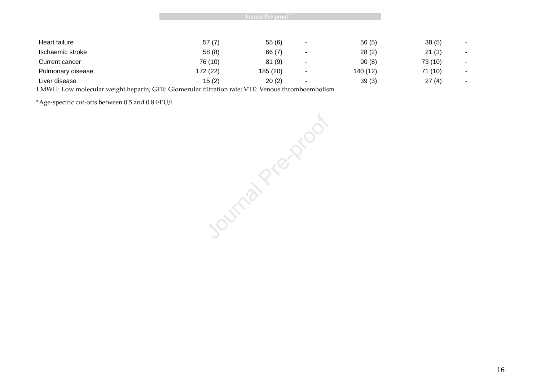| Heart failure                                  | 57(7)                               | 55(6)                               | $\overline{\phantom{0}}$ | 56(5)    | 38(5)   | ۰.  |
|------------------------------------------------|-------------------------------------|-------------------------------------|--------------------------|----------|---------|-----|
| Ischaemic stroke                               | 58(8)                               | 66 (7)                              | $\overline{\phantom{a}}$ | 28(2)    | 21(3)   | . . |
| Current cancer                                 | 76 (10)                             | 81(9)                               | $\overline{\phantom{0}}$ | 90(8)    | 73 (10) | ۰.  |
| Pulmonary disease                              | 172 (22)                            | 185 (20)                            | $\overline{\phantom{0}}$ | 140 (12) | 71 (10) |     |
| Liver disease                                  | 15(2)                               | 20(2)                               | $\overline{\phantom{a}}$ | 39(3)    | 27(4)   | . . |
| T 3 ATATT T<br>$\cdot$ $\cdot$ $\cdot$ $\cdot$ | $\sim$ $\sim$<br>$\cap$ mn $\cap$ 1 | $X$ $T$ $T$ $T$ $T$ $T$<br>$\sim$ 1 |                          |          |         |     |

LMWH: Low molecular weight heparin; GFR: Glomerular filtration rate; VTE: Venous thromboembolism

\*Age-specific cut-offs between 0.5 and 0.8 FEU/l

Journal Pre-proof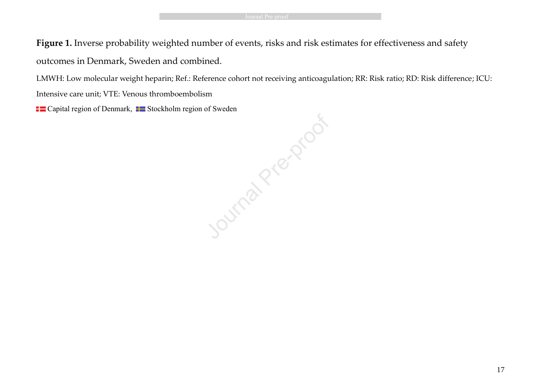**Figure 1.** Inverse probability weighted number of events, risks and risk estimates for effectiveness and safety outcomes in Denmark, Sweden and combined.

LMWH: Low molecular weight heparin; Ref.: Reference cohort not receiving anticoagulation; RR: Risk ratio; RD: Risk difference; ICU:

Intensive care unit; VTE: Venous thromboembolism

**THE** Capital region of Denmark, THE Stockholm region of Sweden

Journal Pre-proof